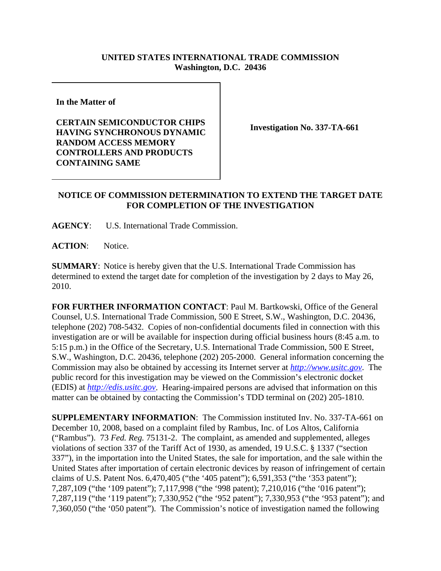## **UNITED STATES INTERNATIONAL TRADE COMMISSION Washington, D.C. 20436**

**In the Matter of** 

**CERTAIN SEMICONDUCTOR CHIPS HAVING SYNCHRONOUS DYNAMIC RANDOM ACCESS MEMORY CONTROLLERS AND PRODUCTS CONTAINING SAME**

**Investigation No. 337-TA-661**

## **NOTICE OF COMMISSION DETERMINATION TO EXTEND THE TARGET DATE FOR COMPLETION OF THE INVESTIGATION**

**AGENCY**: U.S. International Trade Commission.

**ACTION**: Notice.

**SUMMARY**: Notice is hereby given that the U.S. International Trade Commission has determined to extend the target date for completion of the investigation by 2 days to May 26, 2010.

**FOR FURTHER INFORMATION CONTACT**: Paul M. Bartkowski, Office of the General Counsel, U.S. International Trade Commission, 500 E Street, S.W., Washington, D.C. 20436, telephone (202) 708-5432. Copies of non-confidential documents filed in connection with this investigation are or will be available for inspection during official business hours (8:45 a.m. to 5:15 p.m.) in the Office of the Secretary, U.S. International Trade Commission, 500 E Street, S.W., Washington, D.C. 20436, telephone (202) 205-2000. General information concerning the Commission may also be obtained by accessing its Internet server at *http://www.usitc.gov*. The public record for this investigation may be viewed on the Commission's electronic docket (EDIS) at *http://edis.usitc.gov*. Hearing-impaired persons are advised that information on this matter can be obtained by contacting the Commission's TDD terminal on (202) 205-1810.

**SUPPLEMENTARY INFORMATION**: The Commission instituted Inv. No. 337-TA-661 on December 10, 2008, based on a complaint filed by Rambus, Inc. of Los Altos, California ("Rambus"). 73 *Fed. Reg.* 75131-2. The complaint, as amended and supplemented, alleges violations of section 337 of the Tariff Act of 1930, as amended, 19 U.S.C. § 1337 ("section 337"), in the importation into the United States, the sale for importation, and the sale within the United States after importation of certain electronic devices by reason of infringement of certain claims of U.S. Patent Nos. 6,470,405 ("the '405 patent"); 6,591,353 ("the '353 patent"); 7,287,109 ("the '109 patent"); 7,117,998 ("the '998 patent); 7,210,016 ("the '016 patent"); 7,287,119 ("the '119 patent"); 7,330,952 ("the '952 patent"); 7,330,953 ("the '953 patent"); and 7,360,050 ("the '050 patent"). The Commission's notice of investigation named the following